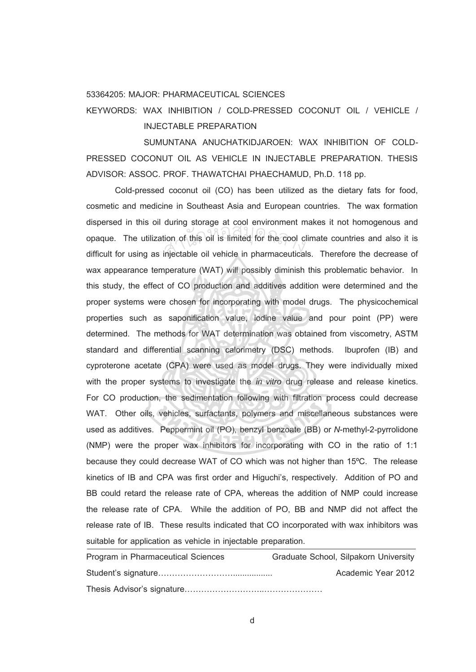## 53364205: MAJOR: PHARMACEUTICAL SCIENCES

KEYWORDS: WAX INHIBITION / COLD-PRESSED COCONUT OIL / VEHICLE / INJECTABLE PREPARATION

SUMUNTANA ANUCHATKIDJAROEN: WAX INHIBITION OF COLD-PRESSED COCONUT OIL AS VEHICLE IN INJECTABLE PREPARATION. THESIS ADVISOR: ASSOC. PROF. THAWATCHAI PHAECHAMUD, Ph.D. 118 pp.

Cold-pressed coconut oil (CO) has been utilized as the dietary fats for food, cosmetic and medicine in Southeast Asia and European countries. The wax formation dispersed in this oil during storage at cool environment makes it not homogenous and opaque. The utilization of this oil is limited for the cool climate countries and also it is<br>difficult for using as injectable oil vehicle in pharmaceuticals. Therefore the decrease of difficult for using as injectable oil vehicle in pharmaceuticals. Therefore the decrease of wax appearance temperature (WAT) will possibly diminish this problematic behavior. In this study, the effect of CO production and additives addition were determined and the proper systems were chosen for incorporating with model drugs. The physicochemical properties such as saponification value, iodine value and pour point (PP) were determined. The methods for WAT determination was obtained from viscometry, ASTM standard and differential scanning calorimetry (DSC) methods. Ibuprofen (IB) and cyproterone acetate (CPA) were used as model drugs. They were individually mixed with the proper systems to investigate the *in vitro* drug release and release kinetics. For CO production, the sedimentation following with filtration process could decrease WAT. Other oils, vehicles, surfactants, polymers and miscellaneous substances were used as additives. Peppermint oil (PO), benzyl benzoate (BB) or *N*-methyl-2-pyrrolidone (NMP) were the proper wax inhibitors for incorporating with CO in the ratio of 1:1 because they could decrease WAT of CO which was not higher than 15ºC. The release kinetics of IB and CPA was first order and Higuchi's, respectively. Addition of PO and BB could retard the release rate of CPA, whereas the addition of NMP could increase the release rate of CPA. While the addition of PO, BB and NMP did not affect the release rate of IB. These results indicated that CO incorporated with wax inhibitors was suitable for application as vehicle in injectable preparation.

| Program in Pharmaceutical Sciences | Graduate School, Silpakorn University |
|------------------------------------|---------------------------------------|
|                                    | Academic Year 2012                    |
|                                    |                                       |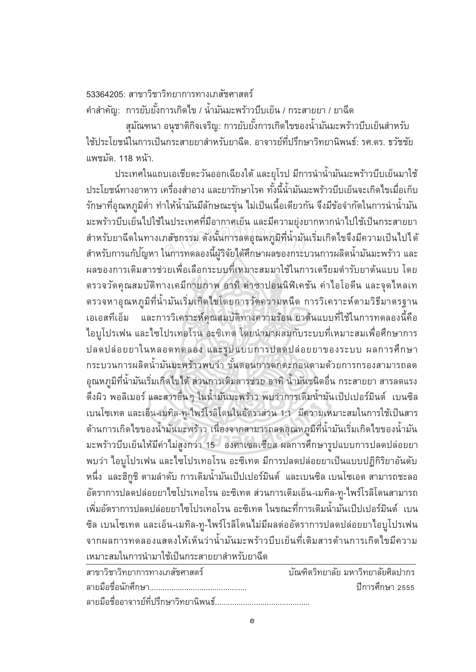## 53364205: สาขาวิชาวิทยาการทางเภสัชศาสตร์

คำสำคัญ: การยับยั้งการเกิดไข / น้ำมันมะพร้าวบีบเย็น / กระสายยา / ยาฉีด

สุมัณฑนา อนุชาติกิจเจริญ: การยับยั้งการเกิดไขของน้ำมันมะพร้าวบีบเย็นสำหรับ ้ ใช้ประโยชน์ในการเป็นกระสายยาสำหรับยาฉีด. อาจารย์ที่ปรึกษาวิทยานิพนธ์: รศ.ดร. ธวัชชัย แพชมัด. 118 หน้า.

ประเทศในแถบเอเชียตะวันออกเฉียงใต้ และยุโรป มีการนำน้ำมันมะพร้าวบีบเย็นมาใช้ ํÊ ประโยชน์ทางอาหาร เครื่องสำอาง และยารักษาโรค ทั้งนี้น้ำมันมะพร้าวบีบเย็นจะเกิดไขเมื่อเก็บ รักษาที่อุณหภูมิต่ำ ทำให้น้ำมันมีลักษณะขุ่น ไม่เป็นเนื้อเดียวกัน จึงมีข้อจำกัดในการนำน้ำมัน ืÊ ํÊ ้ มะพร้าวบีบเย็นไปใช้ในประเทศที่มีอากาศเย็น และมีความยุ่งยากหากนำไปใช้เป็นกระสายยา สำหรับยาฉีดในทางเภสัชกรรม ดังนั้นการลดอุณหภูมิที่น้ำมันเริ่มเกิดไขจึงมีความเป็นไปได้<br>สำหรับการแก้ป<sup>ั</sup>ญหา ในการทดลองนี้ผ้วิจัยได้ศึกษาผลของกระบวนการผลิตน้ำมันมะพร้าว และ ัÊ สำหรับการแก้ปญหา ในการทดลองนี้ผู้วิจัยได้ศึกษาผลของกระบวนการผลิตน้ำมันมะพร้าว และ ํÊ ผลของการเติมสารช่วยเพื่อเลือกระบบที่เหมาะสมมาใช้ในการเตรียมตำรับยาต้นแบบ โดย ตรวจวัดคุณสมบัติทางเคมีกายภาพ อาทิค่าซาปอนนิฟิเคชัน ค่าไอโอดีน และจุดไหลเท ตรวจหาอุณหภูมิที่น้ำมันเริ่มเกิดไขโดยการวัดความหนืด การวิเคราะห์ตามวิธีมาตรฐาน ี เอเอสทีเอ็ม และการวิเคราะห์คุณสมบัติทางความร้อน ยาต้นแบบที่ใช้ในการทดลองนี้คือ ไอบูโปรเฟน และไซโปรเทอโรน อะซิเทต โดยนำมาผสมกับระบบที่เหมาะสมเพื่อศึกษาการ ปลดปล่อยยาในหลอดทดลอง และรูปแบบการปลดปล่อยยาของระบบ ผลการศึกษา กระบวนการผลิตน้ำมันมะพร้าวพบว่า ขั้นตอนการตกตะกอนตามด้วยการกรองสามารถลด อุณหภูมิที่น้ำมันเริ่มเกิดไขได้ ส่วนการเติมสารช่วย อาทิ น้ำมันชนิดอื่น กระสายยา สารลดแรง ตึงผิว พอลิเมอร์ และสารอื่นๆ ในน้ำมันมะพร้าว พบว่าการเติมน้ำมันเป็ปเปอร์มินต์ เบนซิล ี เบนโซเทต และเอ็น-เมทิล-ทู-ไพร์โรลิโดนในอัตราส่วน 1:1 มีความเหมาะสมในการใช้เป็นสาร ต้านการเกิดไขของน้ำมันมะพร้าว เนื่องจากสามารถลดอุณหภูมิที่น้ำมันเริ่มเกิดไขของน้ำมัน ์<br>เ ้มะพร้าวบีบเย็นให้มีค่าไม่สูงกว่า 15 องศาเซลเซียส ผลการศึกษารูปแบบการปลดปล่อยยา พบว่า ไอบูโปรเฟน และไซโปรเทอโรน อะซิเทต มีการปลดปล่อยยาเป็นแบบปฏิกิริยาอันดับ หนึ่ง และฮิกูชิ ตามลำดับ การเติมน้ำมันเป็ปเปอร์มินต์ และเบนซิล เบนโซเอต สามารถชะลอ ื่อัตราการปลดปล่อยยาไซโปรเทอโรน อะซิเทต ส่วนการเติมเอ็น-เมทิล-ทู-ไพร์โรลิโดนสามารถ เพิ่มอัตราการปลดปล่อยยาไซโปรเทอโรน อะซิเทต ในขณะที่การเติมน้ำมันเป็ปเปอร์มินต์ เบน ้ซิล เบนโซเทต และเอ็น-เมทิล-ทู-ไพร์โรลิโดนไม่มีผลต่ออัตราการปลดปล่อยยาไอบูโปรเฟน จากผลการทดลองแสดงให้เห็นว่าน้ำมันมะพร้าวบีบเย็นที่เติมสารต้านการเกิดไขมีความ ํÊ ้ เหมาะสมในการนำมาใช้เป็นกระสายยาสำหรับยาฉีด

| สาขาวิชาวิทยาการทางเภสัชศาสตร์        | ำโนฑิตวิทยาลัย มหาวิทยาลัยศิลปากร |
|---------------------------------------|-----------------------------------|
|                                       | ปีการศึกษา 2555                   |
| ลายมือชื่ออาจารย์ที่ปรึกษาวิทยานิพนธ์ |                                   |